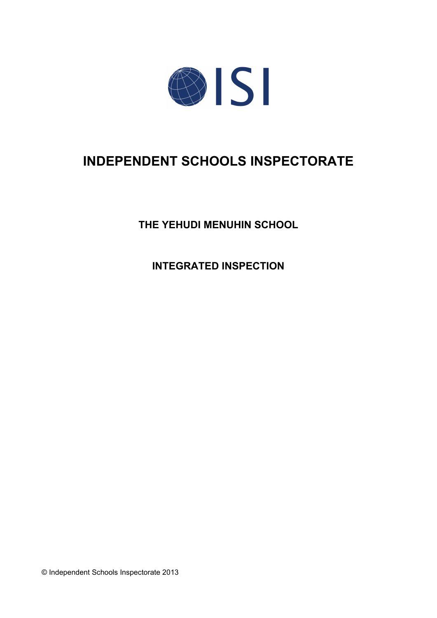

# **INDEPENDENT SCHOOLS INSPECTORATE**

**THE YEHUDI MENUHIN SCHOOL**

**INTEGRATED INSPECTION**

© Independent Schools Inspectorate 2013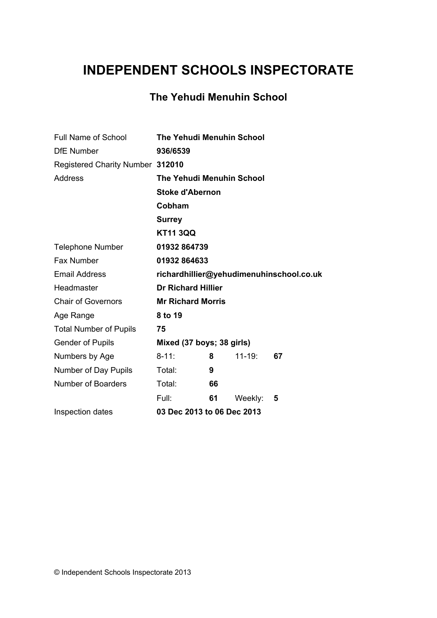# **INDEPENDENT SCHOOLS INSPECTORATE**

# **The Yehudi Menuhin School**

| Full Name of School              | <b>The Yehudi Menuhin School</b> |    |            |                                          |
|----------------------------------|----------------------------------|----|------------|------------------------------------------|
| <b>DfE</b> Number                | 936/6539                         |    |            |                                          |
| Registered Charity Number 312010 |                                  |    |            |                                          |
| <b>Address</b>                   | <b>The Yehudi Menuhin School</b> |    |            |                                          |
|                                  | <b>Stoke d'Abernon</b>           |    |            |                                          |
|                                  | Cobham                           |    |            |                                          |
|                                  | <b>Surrey</b>                    |    |            |                                          |
|                                  | <b>KT11 3QQ</b>                  |    |            |                                          |
| <b>Telephone Number</b>          | 01932 864739                     |    |            |                                          |
| Fax Number                       | 01932 864633                     |    |            |                                          |
| <b>Email Address</b>             |                                  |    |            | richardhillier@yehudimenuhinschool.co.uk |
| Headmaster                       | <b>Dr Richard Hillier</b>        |    |            |                                          |
| <b>Chair of Governors</b>        | <b>Mr Richard Morris</b>         |    |            |                                          |
| Age Range                        | 8 to 19                          |    |            |                                          |
| <b>Total Number of Pupils</b>    | 75                               |    |            |                                          |
| <b>Gender of Pupils</b>          | Mixed (37 boys; 38 girls)        |    |            |                                          |
| Numbers by Age                   | $8 - 11$ :                       | 8  | $11 - 19:$ | 67                                       |
| Number of Day Pupils             | Total:                           | 9  |            |                                          |
| <b>Number of Boarders</b>        | Total:                           | 66 |            |                                          |
|                                  | Full:                            | 61 | Weekly:    | 5                                        |
| Inspection dates                 | 03 Dec 2013 to 06 Dec 2013       |    |            |                                          |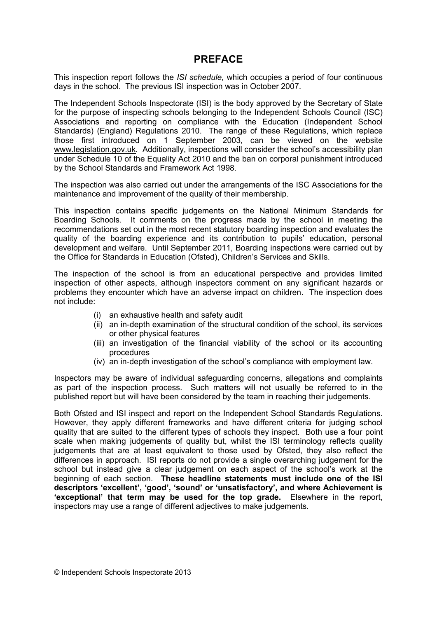# **PREFACE**

This inspection report follows the *ISI schedule,* which occupies a period of four continuous days in the school. The previous ISI inspection was in October 2007.

The Independent Schools Inspectorate (ISI) is the body approved by the Secretary of State for the purpose of inspecting schools belonging to the Independent Schools Council (ISC) Associations and reporting on compliance with the Education (Independent School Standards) (England) Regulations 2010. The range of these Regulations, which replace those first introduced on 1 September 2003, can be viewed on the website [www.legislation.gov.uk.](http://www.legislation.gov.uk) Additionally, inspections will consider the school's accessibility plan under Schedule 10 of the Equality Act 2010 and the ban on corporal punishment introduced by the School Standards and Framework Act 1998.

The inspection was also carried out under the arrangements of the ISC Associations for the maintenance and improvement of the quality of their membership.

This inspection contains specific judgements on the National Minimum Standards for Boarding Schools. It comments on the progress made by the school in meeting the recommendations set out in the most recent statutory boarding inspection and evaluates the quality of the boarding experience and its contribution to pupils' education, personal development and welfare. Until September 2011, Boarding inspections were carried out by the Office for Standards in Education (Ofsted), Children's Services and Skills.

The inspection of the school is from an educational perspective and provides limited inspection of other aspects, although inspectors comment on any significant hazards or problems they encounter which have an adverse impact on children. The inspection does not include:

- (i) an exhaustive health and safety audit
- (ii) an in-depth examination of the structural condition of the school, its services or other physical features
- (iii) an investigation of the financial viability of the school or its accounting procedures
- (iv) an in-depth investigation of the school's compliance with employment law.

Inspectors may be aware of individual safeguarding concerns, allegations and complaints as part of the inspection process. Such matters will not usually be referred to in the published report but will have been considered by the team in reaching their judgements.

Both Ofsted and ISI inspect and report on the Independent School Standards Regulations. However, they apply different frameworks and have different criteria for judging school quality that are suited to the different types of schools they inspect. Both use a four point scale when making judgements of quality but, whilst the ISI terminology reflects quality judgements that are at least equivalent to those used by Ofsted, they also reflect the differences in approach. ISI reports do not provide a single overarching judgement for the school but instead give a clear judgement on each aspect of the school's work at the beginning of each section. **These headline statements must include one of the ISI descriptors 'excellent', 'good', 'sound' or 'unsatisfactory', and where Achievement is 'exceptional' that term may be used for the top grade.** Elsewhere in the report, inspectors may use a range of different adjectives to make judgements.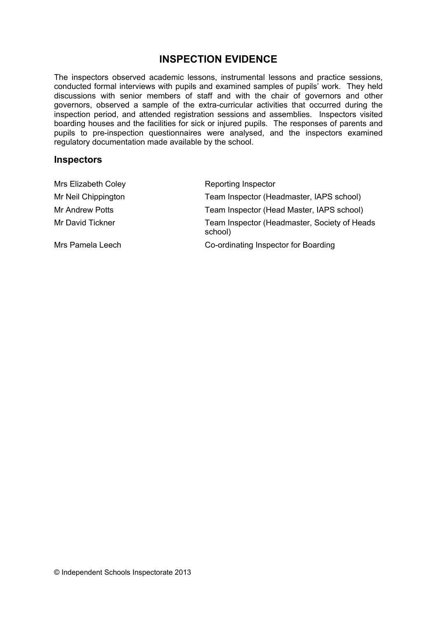# **INSPECTION EVIDENCE**

The inspectors observed academic lessons, instrumental lessons and practice sessions, conducted formal interviews with pupils and examined samples of pupils' work. They held discussions with senior members of staff and with the chair of governors and other governors, observed a sample of the extra-curricular activities that occurred during the inspection period, and attended registration sessions and assemblies. Inspectors visited boarding houses and the facilities for sick or injured pupils. The responses of parents and pupils to pre-inspection questionnaires were analysed, and the inspectors examined regulatory documentation made available by the school.

#### **Inspectors**

| Mrs Elizabeth Coley    | Reporting Inspector                                     |
|------------------------|---------------------------------------------------------|
| Mr Neil Chippington    | Team Inspector (Headmaster, IAPS school)                |
| <b>Mr Andrew Potts</b> | Team Inspector (Head Master, IAPS school)               |
| Mr David Tickner       | Team Inspector (Headmaster, Society of Heads<br>school) |
| Mrs Pamela Leech       | Co-ordinating Inspector for Boarding                    |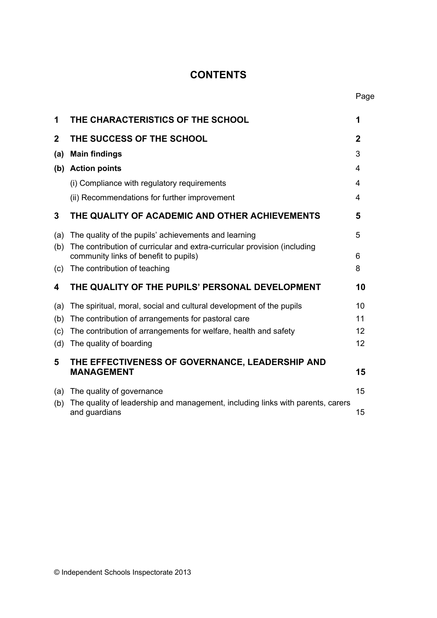# **CONTENTS**

| 1            | THE CHARACTERISTICS OF THE SCHOOL                                                                                 | 1           |
|--------------|-------------------------------------------------------------------------------------------------------------------|-------------|
| $\mathbf{2}$ | THE SUCCESS OF THE SCHOOL                                                                                         | $\mathbf 2$ |
| (a)          | <b>Main findings</b>                                                                                              | 3           |
|              | (b) Action points                                                                                                 | 4           |
|              | (i) Compliance with regulatory requirements                                                                       | 4           |
|              | (ii) Recommendations for further improvement                                                                      | 4           |
| 3            | THE QUALITY OF ACADEMIC AND OTHER ACHIEVEMENTS                                                                    | 5           |
| (a)          | The quality of the pupils' achievements and learning                                                              | 5           |
| (b)          | The contribution of curricular and extra-curricular provision (including<br>community links of benefit to pupils) | 6           |
| (c)          | The contribution of teaching                                                                                      | 8           |
| 4            | THE QUALITY OF THE PUPILS' PERSONAL DEVELOPMENT                                                                   | 10          |
| (a)          | The spiritual, moral, social and cultural development of the pupils                                               | 10          |
| (b)          | The contribution of arrangements for pastoral care                                                                | 11          |
| (c)          | The contribution of arrangements for welfare, health and safety                                                   | 12          |
| (d)          | The quality of boarding                                                                                           | 12          |
| 5            | THE EFFECTIVENESS OF GOVERNANCE, LEADERSHIP AND<br><b>MANAGEMENT</b>                                              | 15          |
| (a)          | The quality of governance                                                                                         | 15          |
| (b)          | The quality of leadership and management, including links with parents, carers<br>and guardians                   | 15          |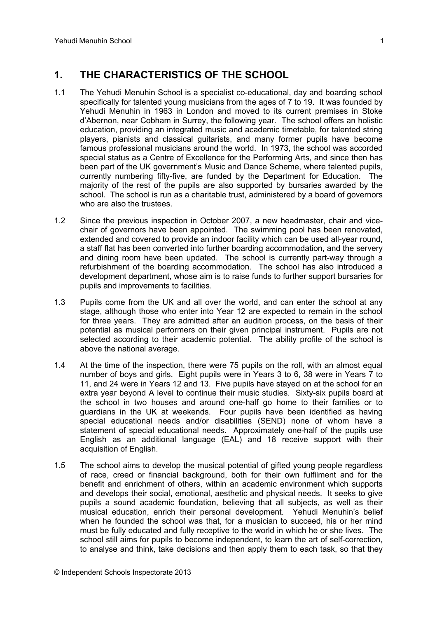# **1. THE CHARACTERISTICS OF THE SCHOOL**

- 1.1 The Yehudi Menuhin School is a specialist co-educational, day and boarding school specifically for talented young musicians from the ages of 7 to 19. It was founded by Yehudi Menuhin in 1963 in London and moved to its current premises in Stoke d'Abernon, near Cobham in Surrey, the following year. The school offers an holistic education, providing an integrated music and academic timetable, for talented string players, pianists and classical guitarists, and many former pupils have become famous professional musicians around the world. In 1973, the school was accorded special status as a Centre of Excellence for the Performing Arts, and since then has been part of the UK government's Music and Dance Scheme, where talented pupils, currently numbering fifty-five, are funded by the Department for Education. The majority of the rest of the pupils are also supported by bursaries awarded by the school. The school is run as a charitable trust, administered by a board of governors who are also the trustees.
- 1.2 Since the previous inspection in October 2007, a new headmaster, chair and vicechair of governors have been appointed. The swimming pool has been renovated, extended and covered to provide an indoor facility which can be used all-year round, a staff flat has been converted into further boarding accommodation, and the servery and dining room have been updated. The school is currently part-way through a refurbishment of the boarding accommodation. The school has also introduced a development department, whose aim is to raise funds to further support bursaries for pupils and improvements to facilities.
- 1.3 Pupils come from the UK and all over the world, and can enter the school at any stage, although those who enter into Year 12 are expected to remain in the school for three years. They are admitted after an audition process, on the basis of their potential as musical performers on their given principal instrument. Pupils are not selected according to their academic potential. The ability profile of the school is above the national average.
- 1.4 At the time of the inspection, there were 75 pupils on the roll, with an almost equal number of boys and girls. Eight pupils were in Years 3 to 6, 38 were in Years 7 to 11, and 24 were in Years 12 and 13. Five pupils have stayed on at the school for an extra year beyond A level to continue their music studies. Sixty-six pupils board at the school in two houses and around one-half go home to their families or to guardians in the UK at weekends. Four pupils have been identified as having special educational needs and/or disabilities (SEND) none of whom have a statement of special educational needs. Approximately one-half of the pupils use English as an additional language (EAL) and 18 receive support with their acquisition of English.
- 1.5 The school aims to develop the musical potential of gifted young people regardless of race, creed or financial background, both for their own fulfilment and for the benefit and enrichment of others, within an academic environment which supports and develops their social, emotional, aesthetic and physical needs. It seeks to give pupils a sound academic foundation, believing that all subjects, as well as their musical education, enrich their personal development. Yehudi Menuhin's belief when he founded the school was that, for a musician to succeed, his or her mind must be fully educated and fully receptive to the world in which he or she lives. The school still aims for pupils to become independent, to learn the art of self-correction, to analyse and think, take decisions and then apply them to each task, so that they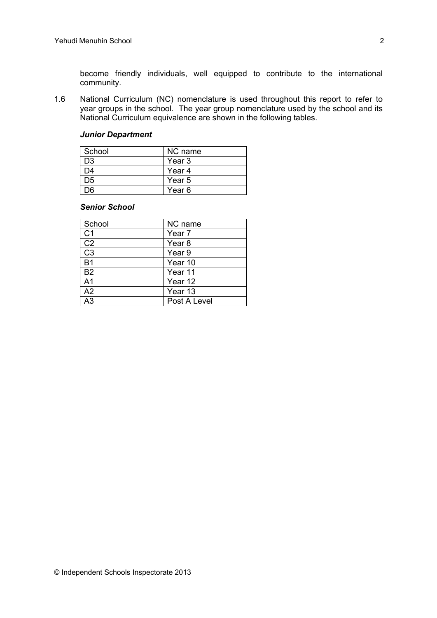become friendly individuals, well equipped to contribute to the international community.

1.6 National Curriculum (NC) nomenclature is used throughout this report to refer to year groups in the school. The year group nomenclature used by the school and its National Curriculum equivalence are shown in the following tables.

#### *Junior Department*

| School         | NC name |
|----------------|---------|
| D <sub>3</sub> | Year 3  |
| D4             | Year 4  |
| D5             | Year 5  |
| nr             | Year 6  |

#### *Senior School*

| School         | NC name           |
|----------------|-------------------|
| C <sub>1</sub> | Year 7            |
| C <sub>2</sub> | Year <sub>8</sub> |
| C <sub>3</sub> | Year <sub>9</sub> |
| <b>B1</b>      | Year 10           |
| <b>B2</b>      | Year 11           |
| A <sub>1</sub> | Year 12           |
| A2             | Year 13           |
| ۹3             | Post A Level      |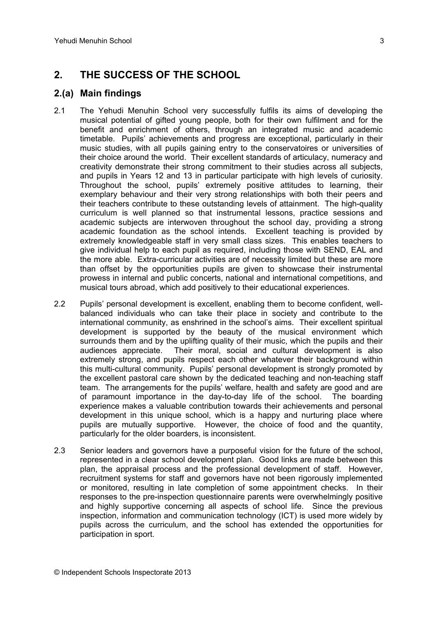# **2. THE SUCCESS OF THE SCHOOL**

### **2.(a) Main findings**

- 2.1 The Yehudi Menuhin School very successfully fulfils its aims of developing the musical potential of gifted young people, both for their own fulfilment and for the benefit and enrichment of others, through an integrated music and academic timetable. Pupils' achievements and progress are exceptional, particularly in their music studies, with all pupils gaining entry to the conservatoires or universities of their choice around the world. Their excellent standards of articulacy, numeracy and creativity demonstrate their strong commitment to their studies across all subjects, and pupils in Years 12 and 13 in particular participate with high levels of curiosity. Throughout the school, pupils' extremely positive attitudes to learning, their exemplary behaviour and their very strong relationships with both their peers and their teachers contribute to these outstanding levels of attainment. The high-quality curriculum is well planned so that instrumental lessons, practice sessions and academic subjects are interwoven throughout the school day, providing a strong academic foundation as the school intends. Excellent teaching is provided by extremely knowledgeable staff in very small class sizes. This enables teachers to give individual help to each pupil as required, including those with SEND, EAL and the more able. Extra-curricular activities are of necessity limited but these are more than offset by the opportunities pupils are given to showcase their instrumental prowess in internal and public concerts, national and international competitions, and musical tours abroad, which add positively to their educational experiences.
- 2.2 Pupils' personal development is excellent, enabling them to become confident, wellbalanced individuals who can take their place in society and contribute to the international community, as enshrined in the school's aims. Their excellent spiritual development is supported by the beauty of the musical environment which surrounds them and by the uplifting quality of their music, which the pupils and their audiences appreciate. Their moral, social and cultural development is also extremely strong, and pupils respect each other whatever their background within this multi-cultural community. Pupils' personal development is strongly promoted by the excellent pastoral care shown by the dedicated teaching and non-teaching staff team. The arrangements for the pupils' welfare, health and safety are good and are of paramount importance in the day-to-day life of the school. The boarding experience makes a valuable contribution towards their achievements and personal development in this unique school, which is a happy and nurturing place where pupils are mutually supportive. However, the choice of food and the quantity, particularly for the older boarders, is inconsistent.
- 2.3 Senior leaders and governors have a purposeful vision for the future of the school, represented in a clear school development plan. Good links are made between this plan, the appraisal process and the professional development of staff. However, recruitment systems for staff and governors have not been rigorously implemented or monitored, resulting in late completion of some appointment checks. In their responses to the pre-inspection questionnaire parents were overwhelmingly positive and highly supportive concerning all aspects of school life. Since the previous inspection, information and communication technology (ICT) is used more widely by pupils across the curriculum, and the school has extended the opportunities for participation in sport.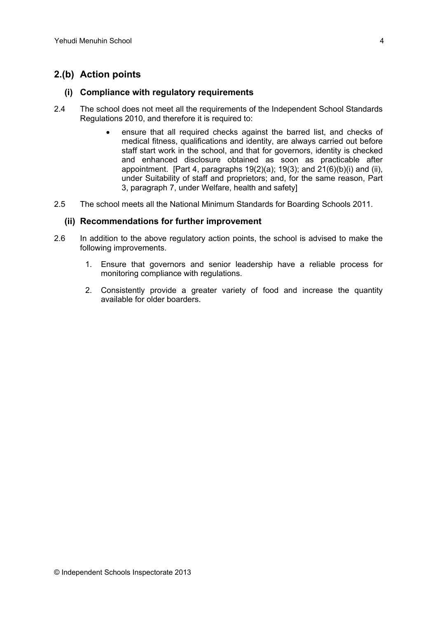## **2.(b) Action points**

#### **(i) Compliance with regulatory requirements**

- 2.4 The school does not meet all the requirements of the Independent School Standards Regulations 2010, and therefore it is required to:
	- ensure that all required checks against the barred list, and checks of medical fitness, qualifications and identity, are always carried out before staff start work in the school, and that for governors, identity is checked and enhanced disclosure obtained as soon as practicable after appointment. [Part 4, paragraphs  $19(2)(a)$ ;  $19(3)$ ; and  $21(6)(b)(i)$  and (ii), under Suitability of staff and proprietors; and, for the same reason, Part 3, paragraph 7, under Welfare, health and safety]
- 2.5 The school meets all the National Minimum Standards for Boarding Schools 2011.

#### **(ii) Recommendations for further improvement**

- 2.6 In addition to the above regulatory action points, the school is advised to make the following improvements.
	- 1. Ensure that governors and senior leadership have a reliable process for monitoring compliance with regulations.
	- 2. Consistently provide a greater variety of food and increase the quantity available for older boarders.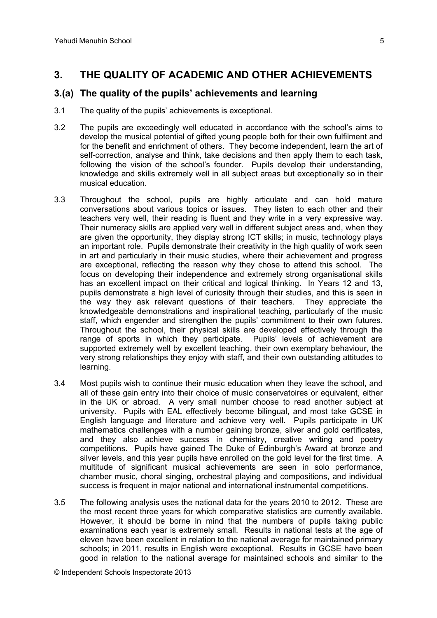# **3. THE QUALITY OF ACADEMIC AND OTHER ACHIEVEMENTS**

### **3.(a) The quality of the pupils' achievements and learning**

- 3.1 The quality of the pupils' achievements is exceptional.
- 3.2 The pupils are exceedingly well educated in accordance with the school's aims to develop the musical potential of gifted young people both for their own fulfilment and for the benefit and enrichment of others. They become independent, learn the art of self-correction, analyse and think, take decisions and then apply them to each task, following the vision of the school's founder. Pupils develop their understanding, knowledge and skills extremely well in all subject areas but exceptionally so in their musical education.
- 3.3 Throughout the school, pupils are highly articulate and can hold mature conversations about various topics or issues. They listen to each other and their teachers very well, their reading is fluent and they write in a very expressive way. Their numeracy skills are applied very well in different subject areas and, when they are given the opportunity, they display strong ICT skills; in music, technology plays an important role. Pupils demonstrate their creativity in the high quality of work seen in art and particularly in their music studies, where their achievement and progress are exceptional, reflecting the reason why they chose to attend this school. The focus on developing their independence and extremely strong organisational skills has an excellent impact on their critical and logical thinking. In Years 12 and 13, pupils demonstrate a high level of curiosity through their studies, and this is seen in the way they ask relevant questions of their teachers. They appreciate the knowledgeable demonstrations and inspirational teaching, particularly of the music staff, which engender and strengthen the pupils' commitment to their own futures. Throughout the school, their physical skills are developed effectively through the range of sports in which they participate. Pupils' levels of achievement are supported extremely well by excellent teaching, their own exemplary behaviour, the very strong relationships they enjoy with staff, and their own outstanding attitudes to learning.
- 3.4 Most pupils wish to continue their music education when they leave the school, and all of these gain entry into their choice of music conservatoires or equivalent, either in the UK or abroad. A very small number choose to read another subject at university. Pupils with EAL effectively become bilingual, and most take GCSE in English language and literature and achieve very well. Pupils participate in UK mathematics challenges with a number gaining bronze, silver and gold certificates, and they also achieve success in chemistry, creative writing and poetry competitions. Pupils have gained The Duke of Edinburgh's Award at bronze and silver levels, and this year pupils have enrolled on the gold level for the first time. A multitude of significant musical achievements are seen in solo performance, chamber music, choral singing, orchestral playing and compositions, and individual success is frequent in major national and international instrumental competitions.
- 3.5 The following analysis uses the national data for the years 2010 to 2012. These are the most recent three years for which comparative statistics are currently available. However, it should be borne in mind that the numbers of pupils taking public examinations each year is extremely small. Results in national tests at the age of eleven have been excellent in relation to the national average for maintained primary schools; in 2011, results in English were exceptional. Results in GCSE have been good in relation to the national average for maintained schools and similar to the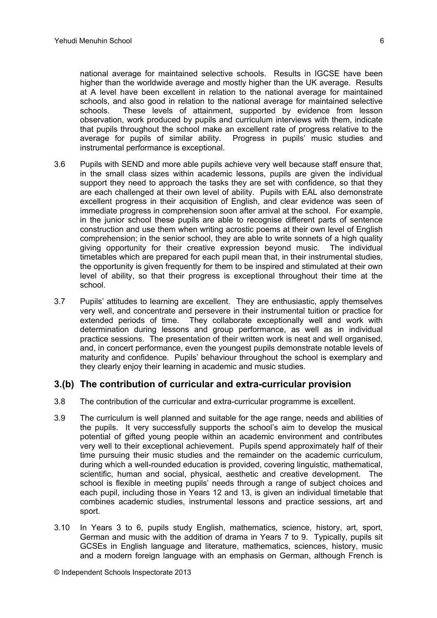national average for maintained selective schools. Results in IGCSE have been higher than the worldwide average and mostly higher than the UK average. Results at A level have been excellent in relation to the national average for maintained schools, and also good in relation to the national average for maintained selective schools. These levels of attainment, supported by evidence from lesson observation, work produced by pupils and curriculum interviews with them, indicate that pupils throughout the school make an excellent rate of progress relative to the average for pupils of similar ability. Progress in pupils' music studies and instrumental performance is exceptional.

- 3.6 Pupils with SEND and more able pupils achieve very well because staff ensure that, in the small class sizes within academic lessons, pupils are given the individual support they need to approach the tasks they are set with confidence, so that they are each challenged at their own level of ability. Pupils with EAL also demonstrate excellent progress in their acquisition of English, and clear evidence was seen of immediate progress in comprehension soon after arrival at the school. For example, in the junior school these pupils are able to recognise different parts of sentence construction and use them when writing acrostic poems at their own level of English comprehension; in the senior school, they are able to write sonnets of a high quality giving opportunity for their creative expression beyond music. The individual timetables which are prepared for each pupil mean that, in their instrumental studies, the opportunity is given frequently for them to be inspired and stimulated at their own level of ability, so that their progress is exceptional throughout their time at the school.
- 3.7 Pupils' attitudes to learning are excellent. They are enthusiastic, apply themselves very well, and concentrate and persevere in their instrumental tuition or practice for extended periods of time. They collaborate exceptionally well and work with determination during lessons and group performance, as well as in individual practice sessions. The presentation of their written work is neat and well organised, and, in concert performance, even the youngest pupils demonstrate notable levels of maturity and confidence. Pupils' behaviour throughout the school is exemplary and they clearly enjoy their learning in academic and music studies.

### **3.(b) The contribution of curricular and extra-curricular provision**

- 3.8 The contribution of the curricular and extra-curricular programme is excellent.
- 3.9 The curriculum is well planned and suitable for the age range, needs and abilities of the pupils. It very successfully supports the school's aim to develop the musical potential of gifted young people within an academic environment and contributes very well to their exceptional achievement. Pupils spend approximately half of their time pursuing their music studies and the remainder on the academic curriculum, during which a well-rounded education is provided, covering linguistic, mathematical, scientific, human and social, physical, aesthetic and creative development. The school is flexible in meeting pupils' needs through a range of subject choices and each pupil, including those in Years 12 and 13, is given an individual timetable that combines academic studies, instrumental lessons and practice sessions, art and sport.
- 3.10 In Years 3 to 6, pupils study English, mathematics, science, history, art, sport, German and music with the addition of drama in Years 7 to 9. Typically, pupils sit GCSEs in English language and literature, mathematics, sciences, history, music and a modern foreign language with an emphasis on German, although French is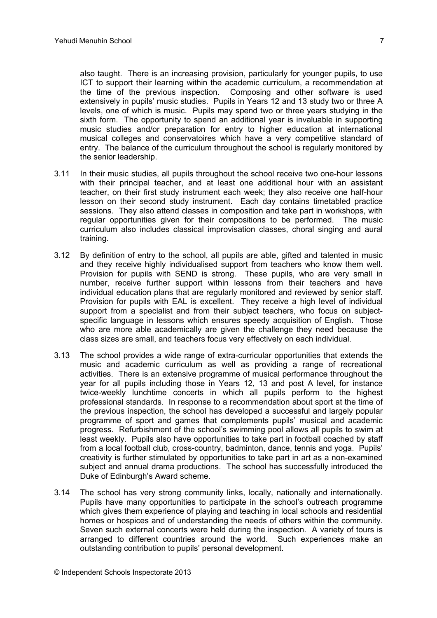also taught. There is an increasing provision, particularly for younger pupils, to use ICT to support their learning within the academic curriculum, a recommendation at the time of the previous inspection. Composing and other software is used extensively in pupils' music studies. Pupils in Years 12 and 13 study two or three A levels, one of which is music. Pupils may spend two or three years studying in the sixth form. The opportunity to spend an additional year is invaluable in supporting music studies and/or preparation for entry to higher education at international musical colleges and conservatoires which have a very competitive standard of entry. The balance of the curriculum throughout the school is regularly monitored by the senior leadership.

- 3.11 In their music studies, all pupils throughout the school receive two one-hour lessons with their principal teacher, and at least one additional hour with an assistant teacher, on their first study instrument each week; they also receive one half-hour lesson on their second study instrument. Each day contains timetabled practice sessions. They also attend classes in composition and take part in workshops, with regular opportunities given for their compositions to be performed. The music curriculum also includes classical improvisation classes, choral singing and aural training.
- 3.12 By definition of entry to the school, all pupils are able, gifted and talented in music and they receive highly individualised support from teachers who know them well. Provision for pupils with SEND is strong. These pupils, who are very small in number, receive further support within lessons from their teachers and have individual education plans that are regularly monitored and reviewed by senior staff. Provision for pupils with EAL is excellent. They receive a high level of individual support from a specialist and from their subject teachers, who focus on subjectspecific language in lessons which ensures speedy acquisition of English. Those who are more able academically are given the challenge they need because the class sizes are small, and teachers focus very effectively on each individual.
- 3.13 The school provides a wide range of extra-curricular opportunities that extends the music and academic curriculum as well as providing a range of recreational activities. There is an extensive programme of musical performance throughout the year for all pupils including those in Years 12, 13 and post A level, for instance twice-weekly lunchtime concerts in which all pupils perform to the highest professional standards. In response to a recommendation about sport at the time of the previous inspection, the school has developed a successful and largely popular programme of sport and games that complements pupils' musical and academic progress. Refurbishment of the school's swimming pool allows all pupils to swim at least weekly. Pupils also have opportunities to take part in football coached by staff from a local football club, cross-country, badminton, dance, tennis and yoga. Pupils' creativity is further stimulated by opportunities to take part in art as a non-examined subject and annual drama productions. The school has successfully introduced the Duke of Edinburgh's Award scheme.
- 3.14 The school has very strong community links, locally, nationally and internationally. Pupils have many opportunities to participate in the school's outreach programme which gives them experience of playing and teaching in local schools and residential homes or hospices and of understanding the needs of others within the community. Seven such external concerts were held during the inspection. A variety of tours is arranged to different countries around the world. Such experiences make an outstanding contribution to pupils' personal development.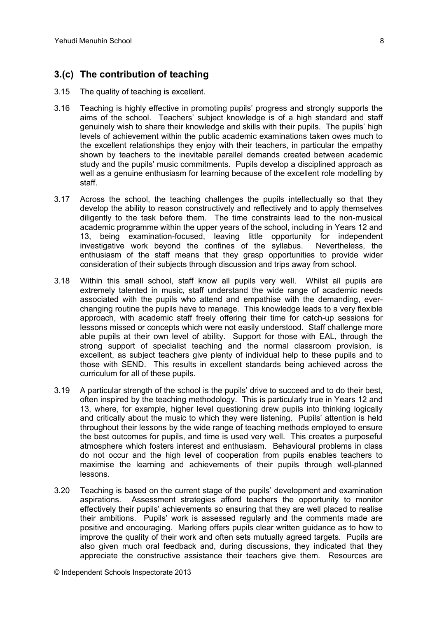## **3.(c) The contribution of teaching**

- 3.15 The quality of teaching is excellent.
- 3.16 Teaching is highly effective in promoting pupils' progress and strongly supports the aims of the school. Teachers' subject knowledge is of a high standard and staff genuinely wish to share their knowledge and skills with their pupils. The pupils' high levels of achievement within the public academic examinations taken owes much to the excellent relationships they enjoy with their teachers, in particular the empathy shown by teachers to the inevitable parallel demands created between academic study and the pupils' music commitments. Pupils develop a disciplined approach as well as a genuine enthusiasm for learning because of the excellent role modelling by staff.
- 3.17 Across the school, the teaching challenges the pupils intellectually so that they develop the ability to reason constructively and reflectively and to apply themselves diligently to the task before them. The time constraints lead to the non-musical academic programme within the upper years of the school, including in Years 12 and 13, being examination-focused, leaving little opportunity for independent investigative work beyond the confines of the syllabus. Nevertheless, the enthusiasm of the staff means that they grasp opportunities to provide wider consideration of their subjects through discussion and trips away from school.
- 3.18 Within this small school, staff know all pupils very well. Whilst all pupils are extremely talented in music, staff understand the wide range of academic needs associated with the pupils who attend and empathise with the demanding, everchanging routine the pupils have to manage. This knowledge leads to a very flexible approach, with academic staff freely offering their time for catch-up sessions for lessons missed or concepts which were not easily understood. Staff challenge more able pupils at their own level of ability. Support for those with EAL, through the strong support of specialist teaching and the normal classroom provision, is excellent, as subject teachers give plenty of individual help to these pupils and to those with SEND. This results in excellent standards being achieved across the curriculum for all of these pupils.
- 3.19 A particular strength of the school is the pupils' drive to succeed and to do their best, often inspired by the teaching methodology. This is particularly true in Years 12 and 13, where, for example, higher level questioning drew pupils into thinking logically and critically about the music to which they were listening. Pupils' attention is held throughout their lessons by the wide range of teaching methods employed to ensure the best outcomes for pupils, and time is used very well. This creates a purposeful atmosphere which fosters interest and enthusiasm. Behavioural problems in class do not occur and the high level of cooperation from pupils enables teachers to maximise the learning and achievements of their pupils through well-planned lessons.
- 3.20 Teaching is based on the current stage of the pupils' development and examination aspirations. Assessment strategies afford teachers the opportunity to monitor effectively their pupils' achievements so ensuring that they are well placed to realise their ambitions. Pupils' work is assessed regularly and the comments made are positive and encouraging. Marking offers pupils clear written guidance as to how to improve the quality of their work and often sets mutually agreed targets. Pupils are also given much oral feedback and, during discussions, they indicated that they appreciate the constructive assistance their teachers give them. Resources are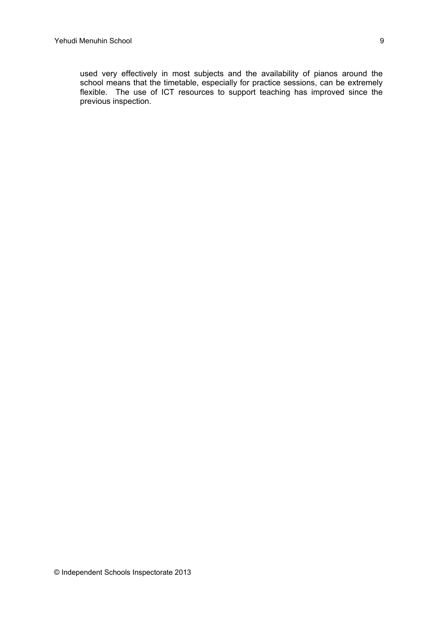used very effectively in most subjects and the availability of pianos around the school means that the timetable, especially for practice sessions, can be extremely flexible. The use of ICT resources to support teaching has improved since the previous inspection.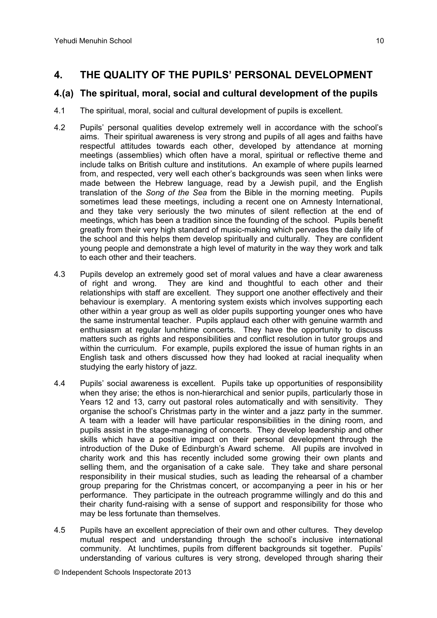# **4. THE QUALITY OF THE PUPILS' PERSONAL DEVELOPMENT**

### **4.(a) The spiritual, moral, social and cultural development of the pupils**

- 4.1 The spiritual, moral, social and cultural development of pupils is excellent.
- 4.2 Pupils' personal qualities develop extremely well in accordance with the school's aims. Their spiritual awareness is very strong and pupils of all ages and faiths have respectful attitudes towards each other, developed by attendance at morning meetings (assemblies) which often have a moral, spiritual or reflective theme and include talks on British culture and institutions. An example of where pupils learned from, and respected, very well each other's backgrounds was seen when links were made between the Hebrew language, read by a Jewish pupil, and the English translation of the *Song of the Sea* from the Bible in the morning meeting. Pupils sometimes lead these meetings, including a recent one on Amnesty International, and they take very seriously the two minutes of silent reflection at the end of meetings, which has been a tradition since the founding of the school. Pupils benefit greatly from their very high standard of music-making which pervades the daily life of the school and this helps them develop spiritually and culturally. They are confident young people and demonstrate a high level of maturity in the way they work and talk to each other and their teachers.
- 4.3 Pupils develop an extremely good set of moral values and have a clear awareness of right and wrong. They are kind and thoughtful to each other and their relationships with staff are excellent. They support one another effectively and their behaviour is exemplary. A mentoring system exists which involves supporting each other within a year group as well as older pupils supporting younger ones who have the same instrumental teacher. Pupils applaud each other with genuine warmth and enthusiasm at regular lunchtime concerts. They have the opportunity to discuss matters such as rights and responsibilities and conflict resolution in tutor groups and within the curriculum. For example, pupils explored the issue of human rights in an English task and others discussed how they had looked at racial inequality when studying the early history of jazz.
- 4.4 Pupils' social awareness is excellent. Pupils take up opportunities of responsibility when they arise; the ethos is non-hierarchical and senior pupils, particularly those in Years 12 and 13, carry out pastoral roles automatically and with sensitivity. They organise the school's Christmas party in the winter and a jazz party in the summer. A team with a leader will have particular responsibilities in the dining room, and pupils assist in the stage-managing of concerts. They develop leadership and other skills which have a positive impact on their personal development through the introduction of the Duke of Edinburgh's Award scheme. All pupils are involved in charity work and this has recently included some growing their own plants and selling them, and the organisation of a cake sale. They take and share personal responsibility in their musical studies, such as leading the rehearsal of a chamber group preparing for the Christmas concert, or accompanying a peer in his or her performance. They participate in the outreach programme willingly and do this and their charity fund-raising with a sense of support and responsibility for those who may be less fortunate than themselves.
- 4.5 Pupils have an excellent appreciation of their own and other cultures. They develop mutual respect and understanding through the school's inclusive international community. At lunchtimes, pupils from different backgrounds sit together. Pupils' understanding of various cultures is very strong, developed through sharing their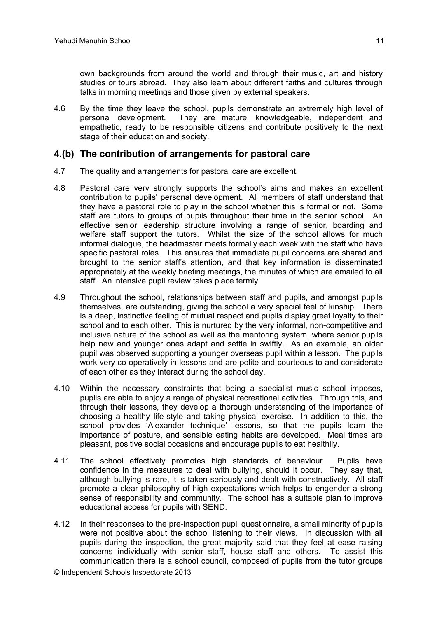4.6 By the time they leave the school, pupils demonstrate an extremely high level of personal development. They are mature, knowledgeable, independent and empathetic, ready to be responsible citizens and contribute positively to the next stage of their education and society.

### **4.(b) The contribution of arrangements for pastoral care**

- 4.7 The quality and arrangements for pastoral care are excellent.
- 4.8 Pastoral care very strongly supports the school's aims and makes an excellent contribution to pupils' personal development. All members of staff understand that they have a pastoral role to play in the school whether this is formal or not. Some staff are tutors to groups of pupils throughout their time in the senior school. An effective senior leadership structure involving a range of senior, boarding and welfare staff support the tutors. Whilst the size of the school allows for much informal dialogue, the headmaster meets formally each week with the staff who have specific pastoral roles. This ensures that immediate pupil concerns are shared and brought to the senior staff's attention, and that key information is disseminated appropriately at the weekly briefing meetings, the minutes of which are emailed to all staff. An intensive pupil review takes place termly.
- 4.9 Throughout the school, relationships between staff and pupils, and amongst pupils themselves, are outstanding, giving the school a very special feel of kinship. There is a deep, instinctive feeling of mutual respect and pupils display great loyalty to their school and to each other. This is nurtured by the very informal, non-competitive and inclusive nature of the school as well as the mentoring system, where senior pupils help new and younger ones adapt and settle in swiftly. As an example, an older pupil was observed supporting a younger overseas pupil within a lesson. The pupils work very co-operatively in lessons and are polite and courteous to and considerate of each other as they interact during the school day.
- 4.10 Within the necessary constraints that being a specialist music school imposes, pupils are able to enjoy a range of physical recreational activities. Through this, and through their lessons, they develop a thorough understanding of the importance of choosing a healthy life-style and taking physical exercise. In addition to this, the school provides 'Alexander technique' lessons, so that the pupils learn the importance of posture, and sensible eating habits are developed. Meal times are pleasant, positive social occasions and encourage pupils to eat healthily.
- 4.11 The school effectively promotes high standards of behaviour. Pupils have confidence in the measures to deal with bullying, should it occur. They say that, although bullying is rare, it is taken seriously and dealt with constructively. All staff promote a clear philosophy of high expectations which helps to engender a strong sense of responsibility and community. The school has a suitable plan to improve educational access for pupils with SEND.
- 4.12 In their responses to the pre-inspection pupil questionnaire, a small minority of pupils were not positive about the school listening to their views. In discussion with all pupils during the inspection, the great majority said that they feel at ease raising concerns individually with senior staff, house staff and others. To assist this communication there is a school council, composed of pupils from the tutor groups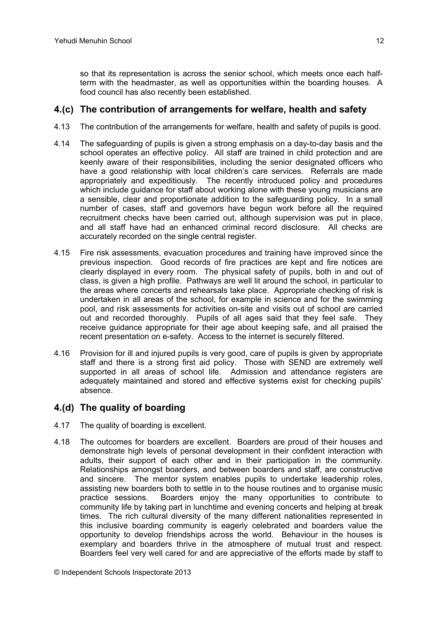so that its representation is across the senior school, which meets once each halfterm with the headmaster, as well as opportunities within the boarding houses. A food council has also recently been established.

### **4.(c) The contribution of arrangements for welfare, health and safety**

- 4.13 The contribution of the arrangements for welfare, health and safety of pupils is good.
- 4.14 The safeguarding of pupils is given a strong emphasis on a day-to-day basis and the school operates an effective policy. All staff are trained in child protection and are keenly aware of their responsibilities, including the senior designated officers who have a good relationship with local children's care services. Referrals are made appropriately and expeditiously. The recently introduced policy and procedures which include guidance for staff about working alone with these young musicians are a sensible, clear and proportionate addition to the safeguarding policy. In a small number of cases, staff and governors have begun work before all the required recruitment checks have been carried out, although supervision was put in place, and all staff have had an enhanced criminal record disclosure. All checks are accurately recorded on the single central register.
- 4.15 Fire risk assessments, evacuation procedures and training have improved since the previous inspection. Good records of fire practices are kept and fire notices are clearly displayed in every room. The physical safety of pupils, both in and out of class, is given a high profile. Pathways are well lit around the school, in particular to the areas where concerts and rehearsals take place. Appropriate checking of risk is undertaken in all areas of the school, for example in science and for the swimming pool, and risk assessments for activities on-site and visits out of school are carried out and recorded thoroughly. Pupils of all ages said that they feel safe. They receive guidance appropriate for their age about keeping safe, and all praised the recent presentation on e-safety. Access to the internet is securely filtered.
- 4.16 Provision for ill and injured pupils is very good, care of pupils is given by appropriate staff and there is a strong first aid policy. Those with SEND are extremely well supported in all areas of school life. Admission and attendance registers are adequately maintained and stored and effective systems exist for checking pupils' absence.

### **4.(d) The quality of boarding**

- 4.17 The quality of boarding is excellent.
- 4.18 The outcomes for boarders are excellent. Boarders are proud of their houses and demonstrate high levels of personal development in their confident interaction with adults, their support of each other and in their participation in the community. Relationships amongst boarders, and between boarders and staff, are constructive and sincere. The mentor system enables pupils to undertake leadership roles, assisting new boarders both to settle in to the house routines and to organise music practice sessions. Boarders enjoy the many opportunities to contribute to community life by taking part in lunchtime and evening concerts and helping at break times. The rich cultural diversity of the many different nationalities represented in this inclusive boarding community is eagerly celebrated and boarders value the opportunity to develop friendships across the world. Behaviour in the houses is exemplary and boarders thrive in the atmosphere of mutual trust and respect. Boarders feel very well cared for and are appreciative of the efforts made by staff to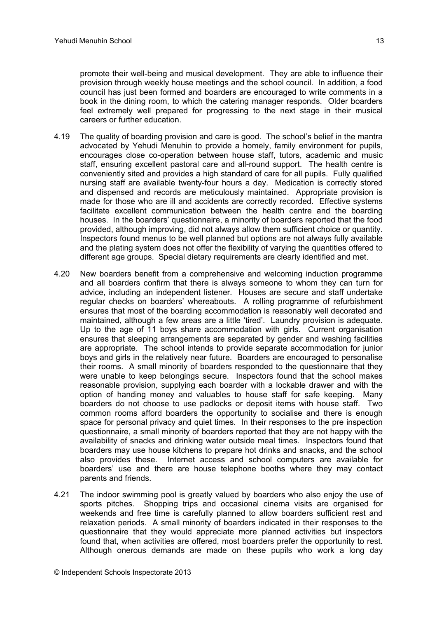promote their well-being and musical development. They are able to influence their provision through weekly house meetings and the school council. In addition, a food council has just been formed and boarders are encouraged to write comments in a book in the dining room, to which the catering manager responds. Older boarders feel extremely well prepared for progressing to the next stage in their musical careers or further education.

- 4.19 The quality of boarding provision and care is good. The school's belief in the mantra advocated by Yehudi Menuhin to provide a homely, family environment for pupils, encourages close co-operation between house staff, tutors, academic and music staff, ensuring excellent pastoral care and all-round support. The health centre is conveniently sited and provides a high standard of care for all pupils. Fully qualified nursing staff are available twenty-four hours a day. Medication is correctly stored and dispensed and records are meticulously maintained. Appropriate provision is made for those who are ill and accidents are correctly recorded. Effective systems facilitate excellent communication between the health centre and the boarding houses. In the boarders' questionnaire, a minority of boarders reported that the food provided, although improving, did not always allow them sufficient choice or quantity. Inspectors found menus to be well planned but options are not always fully available and the plating system does not offer the flexibility of varying the quantities offered to different age groups. Special dietary requirements are clearly identified and met.
- 4.20 New boarders benefit from a comprehensive and welcoming induction programme and all boarders confirm that there is always someone to whom they can turn for advice, including an independent listener. Houses are secure and staff undertake regular checks on boarders' whereabouts. A rolling programme of refurbishment ensures that most of the boarding accommodation is reasonably well decorated and maintained, although a few areas are a little 'tired'. Laundry provision is adequate. Up to the age of 11 boys share accommodation with girls. Current organisation ensures that sleeping arrangements are separated by gender and washing facilities are appropriate. The school intends to provide separate accommodation for junior boys and girls in the relatively near future. Boarders are encouraged to personalise their rooms. A small minority of boarders responded to the questionnaire that they were unable to keep belongings secure. Inspectors found that the school makes reasonable provision, supplying each boarder with a lockable drawer and with the option of handing money and valuables to house staff for safe keeping. Many boarders do not choose to use padlocks or deposit items with house staff. Two common rooms afford boarders the opportunity to socialise and there is enough space for personal privacy and quiet times. In their responses to the pre inspection questionnaire, a small minority of boarders reported that they are not happy with the availability of snacks and drinking water outside meal times. Inspectors found that boarders may use house kitchens to prepare hot drinks and snacks, and the school also provides these. Internet access and school computers are available for boarders' use and there are house telephone booths where they may contact parents and friends.
- 4.21 The indoor swimming pool is greatly valued by boarders who also enjoy the use of sports pitches. Shopping trips and occasional cinema visits are organised for weekends and free time is carefully planned to allow boarders sufficient rest and relaxation periods. A small minority of boarders indicated in their responses to the questionnaire that they would appreciate more planned activities but inspectors found that, when activities are offered, most boarders prefer the opportunity to rest. Although onerous demands are made on these pupils who work a long day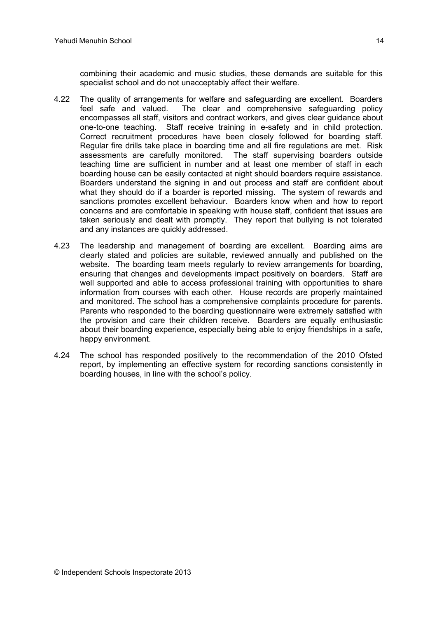combining their academic and music studies, these demands are suitable for this specialist school and do not unacceptably affect their welfare.

- 4.22 The quality of arrangements for welfare and safeguarding are excellent. Boarders feel safe and valued. The clear and comprehensive safeguarding policy encompasses all staff, visitors and contract workers, and gives clear guidance about one-to-one teaching. Staff receive training in e-safety and in child protection. Correct recruitment procedures have been closely followed for boarding staff. Regular fire drills take place in boarding time and all fire regulations are met. Risk assessments are carefully monitored. The staff supervising boarders outside teaching time are sufficient in number and at least one member of staff in each boarding house can be easily contacted at night should boarders require assistance. Boarders understand the signing in and out process and staff are confident about what they should do if a boarder is reported missing. The system of rewards and sanctions promotes excellent behaviour. Boarders know when and how to report concerns and are comfortable in speaking with house staff, confident that issues are taken seriously and dealt with promptly. They report that bullying is not tolerated and any instances are quickly addressed.
- 4.23 The leadership and management of boarding are excellent. Boarding aims are clearly stated and policies are suitable, reviewed annually and published on the website. The boarding team meets regularly to review arrangements for boarding, ensuring that changes and developments impact positively on boarders. Staff are well supported and able to access professional training with opportunities to share information from courses with each other. House records are properly maintained and monitored. The school has a comprehensive complaints procedure for parents. Parents who responded to the boarding questionnaire were extremely satisfied with the provision and care their children receive. Boarders are equally enthusiastic about their boarding experience, especially being able to enjoy friendships in a safe, happy environment.
- 4.24 The school has responded positively to the recommendation of the 2010 Ofsted report, by implementing an effective system for recording sanctions consistently in boarding houses, in line with the school's policy.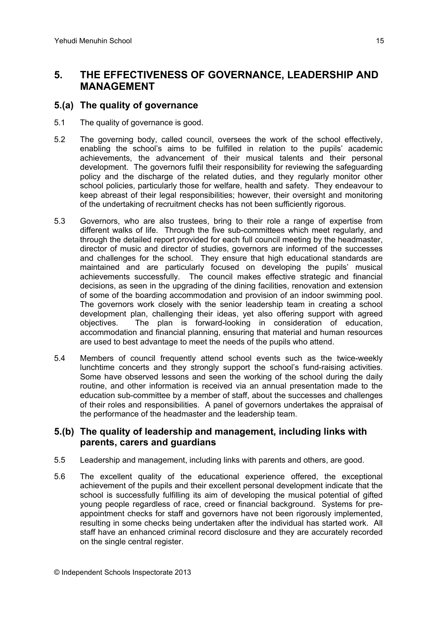# **5. THE EFFECTIVENESS OF GOVERNANCE, LEADERSHIP AND MANAGEMENT**

### **5.(a) The quality of governance**

- 5.1 The quality of governance is good.
- 5.2 The governing body, called council, oversees the work of the school effectively, enabling the school's aims to be fulfilled in relation to the pupils' academic achievements, the advancement of their musical talents and their personal development. The governors fulfil their responsibility for reviewing the safeguarding policy and the discharge of the related duties, and they regularly monitor other school policies, particularly those for welfare, health and safety. They endeavour to keep abreast of their legal responsibilities; however, their oversight and monitoring of the undertaking of recruitment checks has not been sufficiently rigorous.
- 5.3 Governors, who are also trustees, bring to their role a range of expertise from different walks of life. Through the five sub-committees which meet regularly, and through the detailed report provided for each full council meeting by the headmaster, director of music and director of studies, governors are informed of the successes and challenges for the school. They ensure that high educational standards are maintained and are particularly focused on developing the pupils' musical achievements successfully. The council makes effective strategic and financial decisions, as seen in the upgrading of the dining facilities, renovation and extension of some of the boarding accommodation and provision of an indoor swimming pool. The governors work closely with the senior leadership team in creating a school development plan, challenging their ideas, yet also offering support with agreed objectives. The plan is forward-looking in consideration of education, accommodation and financial planning, ensuring that material and human resources are used to best advantage to meet the needs of the pupils who attend.
- 5.4 Members of council frequently attend school events such as the twice-weekly lunchtime concerts and they strongly support the school's fund-raising activities. Some have observed lessons and seen the working of the school during the daily routine, and other information is received via an annual presentation made to the education sub-committee by a member of staff, about the successes and challenges of their roles and responsibilities. A panel of governors undertakes the appraisal of the performance of the headmaster and the leadership team.

### **5.(b) The quality of leadership and management, including links with parents, carers and guardians**

- 5.5 Leadership and management, including links with parents and others, are good.
- 5.6 The excellent quality of the educational experience offered, the exceptional achievement of the pupils and their excellent personal development indicate that the school is successfully fulfilling its aim of developing the musical potential of gifted young people regardless of race, creed or financial background. Systems for preappointment checks for staff and governors have not been rigorously implemented, resulting in some checks being undertaken after the individual has started work. All staff have an enhanced criminal record disclosure and they are accurately recorded on the single central register.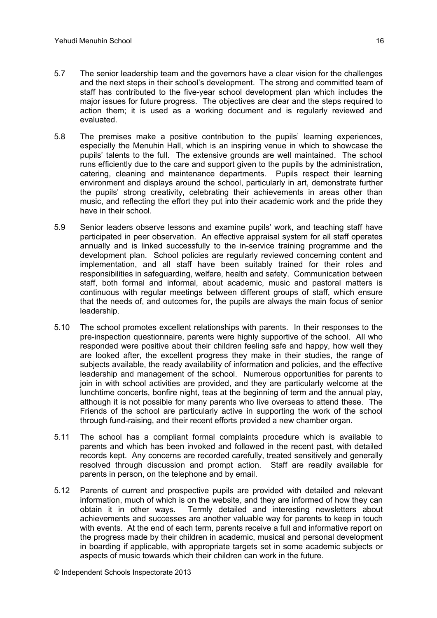- 5.7 The senior leadership team and the governors have a clear vision for the challenges and the next steps in their school's development. The strong and committed team of staff has contributed to the five-year school development plan which includes the major issues for future progress. The objectives are clear and the steps required to action them; it is used as a working document and is regularly reviewed and evaluated.
- 5.8 The premises make a positive contribution to the pupils' learning experiences, especially the Menuhin Hall, which is an inspiring venue in which to showcase the pupils' talents to the full. The extensive grounds are well maintained. The school runs efficiently due to the care and support given to the pupils by the administration, catering, cleaning and maintenance departments. Pupils respect their learning environment and displays around the school, particularly in art, demonstrate further the pupils' strong creativity, celebrating their achievements in areas other than music, and reflecting the effort they put into their academic work and the pride they have in their school.
- 5.9 Senior leaders observe lessons and examine pupils' work, and teaching staff have participated in peer observation. An effective appraisal system for all staff operates annually and is linked successfully to the in-service training programme and the development plan. School policies are regularly reviewed concerning content and implementation, and all staff have been suitably trained for their roles and responsibilities in safeguarding, welfare, health and safety. Communication between staff, both formal and informal, about academic, music and pastoral matters is continuous with regular meetings between different groups of staff, which ensure that the needs of, and outcomes for, the pupils are always the main focus of senior leadership.
- 5.10 The school promotes excellent relationships with parents. In their responses to the pre-inspection questionnaire, parents were highly supportive of the school. All who responded were positive about their children feeling safe and happy, how well they are looked after, the excellent progress they make in their studies, the range of subjects available, the ready availability of information and policies, and the effective leadership and management of the school. Numerous opportunities for parents to join in with school activities are provided, and they are particularly welcome at the lunchtime concerts, bonfire night, teas at the beginning of term and the annual play, although it is not possible for many parents who live overseas to attend these. The Friends of the school are particularly active in supporting the work of the school through fund-raising, and their recent efforts provided a new chamber organ.
- 5.11 The school has a compliant formal complaints procedure which is available to parents and which has been invoked and followed in the recent past, with detailed records kept. Any concerns are recorded carefully, treated sensitively and generally resolved through discussion and prompt action. Staff are readily available for parents in person, on the telephone and by email.
- 5.12 Parents of current and prospective pupils are provided with detailed and relevant information, much of which is on the website, and they are informed of how they can obtain it in other ways. Termly detailed and interesting newsletters about achievements and successes are another valuable way for parents to keep in touch with events. At the end of each term, parents receive a full and informative report on the progress made by their children in academic, musical and personal development in boarding if applicable, with appropriate targets set in some academic subjects or aspects of music towards which their children can work in the future.